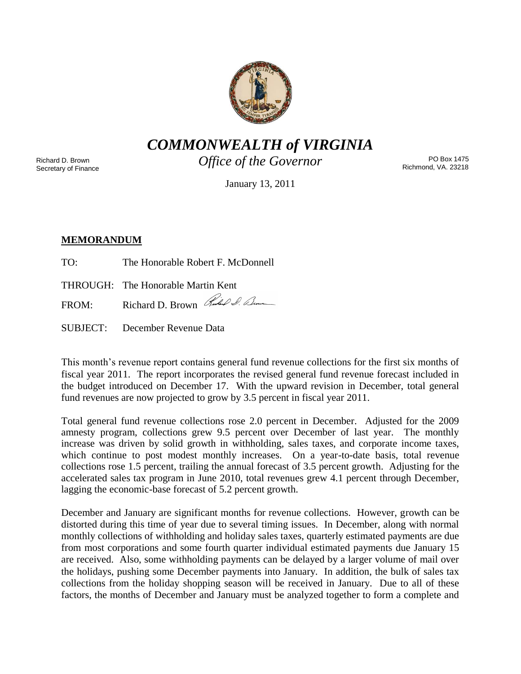

*COMMONWEALTH of VIRGINIA*

Richard D. Brown Secretary of Finance *Office of the Governor*

PO Box 1475 Richmond, VA. 23218

January 13, 2011

# **MEMORANDUM**

TO: The Honorable Robert F. McDonnell

THROUGH: The Honorable Martin Kent

FROM: Richard D. Brown Richard D. Elm

SUBJECT: December Revenue Data

This month's revenue report contains general fund revenue collections for the first six months of fiscal year 2011. The report incorporates the revised general fund revenue forecast included in the budget introduced on December 17. With the upward revision in December, total general fund revenues are now projected to grow by 3.5 percent in fiscal year 2011.

Total general fund revenue collections rose 2.0 percent in December. Adjusted for the 2009 amnesty program, collections grew 9.5 percent over December of last year. The monthly increase was driven by solid growth in withholding, sales taxes, and corporate income taxes, which continue to post modest monthly increases. On a year-to-date basis, total revenue collections rose 1.5 percent, trailing the annual forecast of 3.5 percent growth. Adjusting for the accelerated sales tax program in June 2010, total revenues grew 4.1 percent through December, lagging the economic-base forecast of 5.2 percent growth.

December and January are significant months for revenue collections. However, growth can be distorted during this time of year due to several timing issues. In December, along with normal monthly collections of withholding and holiday sales taxes, quarterly estimated payments are due from most corporations and some fourth quarter individual estimated payments due January 15 are received. Also, some withholding payments can be delayed by a larger volume of mail over the holidays, pushing some December payments into January. In addition, the bulk of sales tax collections from the holiday shopping season will be received in January. Due to all of these factors, the months of December and January must be analyzed together to form a complete and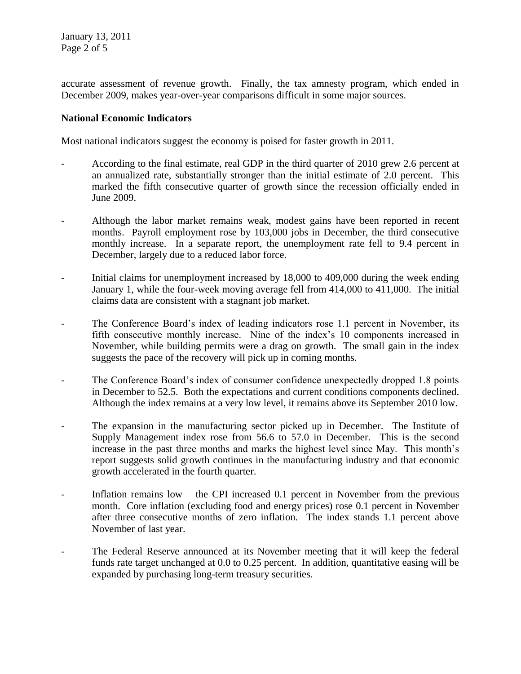accurate assessment of revenue growth. Finally, the tax amnesty program, which ended in December 2009, makes year-over-year comparisons difficult in some major sources.

# **National Economic Indicators**

Most national indicators suggest the economy is poised for faster growth in 2011.

- According to the final estimate, real GDP in the third quarter of 2010 grew 2.6 percent at an annualized rate, substantially stronger than the initial estimate of 2.0 percent. This marked the fifth consecutive quarter of growth since the recession officially ended in June 2009.
- Although the labor market remains weak, modest gains have been reported in recent months. Payroll employment rose by 103,000 jobs in December, the third consecutive monthly increase. In a separate report, the unemployment rate fell to 9.4 percent in December, largely due to a reduced labor force.
- Initial claims for unemployment increased by 18,000 to 409,000 during the week ending January 1, while the four-week moving average fell from 414,000 to 411,000. The initial claims data are consistent with a stagnant job market.
- The Conference Board's index of leading indicators rose 1.1 percent in November, its fifth consecutive monthly increase. Nine of the index's 10 components increased in November, while building permits were a drag on growth. The small gain in the index suggests the pace of the recovery will pick up in coming months.
- The Conference Board's index of consumer confidence unexpectedly dropped 1.8 points in December to 52.5. Both the expectations and current conditions components declined. Although the index remains at a very low level, it remains above its September 2010 low.
- The expansion in the manufacturing sector picked up in December. The Institute of Supply Management index rose from 56.6 to 57.0 in December. This is the second increase in the past three months and marks the highest level since May. This month's report suggests solid growth continues in the manufacturing industry and that economic growth accelerated in the fourth quarter.
- Inflation remains low the CPI increased 0.1 percent in November from the previous month. Core inflation (excluding food and energy prices) rose 0.1 percent in November after three consecutive months of zero inflation. The index stands 1.1 percent above November of last year.
- The Federal Reserve announced at its November meeting that it will keep the federal funds rate target unchanged at 0.0 to 0.25 percent. In addition, quantitative easing will be expanded by purchasing long-term treasury securities.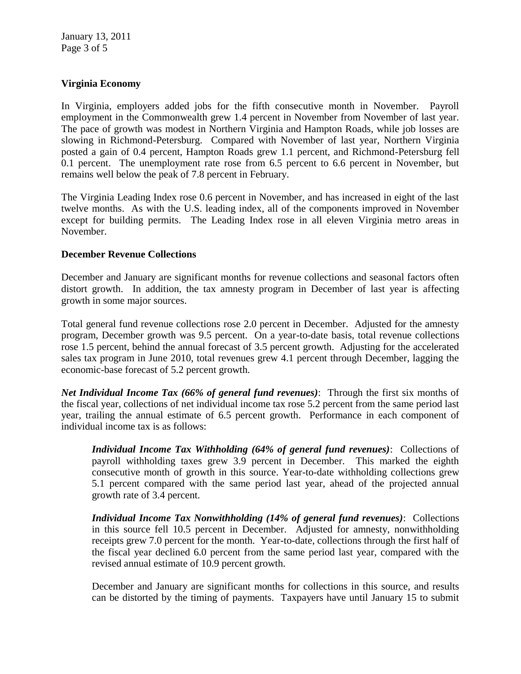# **Virginia Economy**

In Virginia, employers added jobs for the fifth consecutive month in November. Payroll employment in the Commonwealth grew 1.4 percent in November from November of last year. The pace of growth was modest in Northern Virginia and Hampton Roads, while job losses are slowing in Richmond-Petersburg. Compared with November of last year, Northern Virginia posted a gain of 0.4 percent, Hampton Roads grew 1.1 percent, and Richmond-Petersburg fell 0.1 percent. The unemployment rate rose from 6.5 percent to 6.6 percent in November, but remains well below the peak of 7.8 percent in February.

The Virginia Leading Index rose 0.6 percent in November, and has increased in eight of the last twelve months. As with the U.S. leading index, all of the components improved in November except for building permits. The Leading Index rose in all eleven Virginia metro areas in November.

### **December Revenue Collections**

December and January are significant months for revenue collections and seasonal factors often distort growth. In addition, the tax amnesty program in December of last year is affecting growth in some major sources.

Total general fund revenue collections rose 2.0 percent in December. Adjusted for the amnesty program, December growth was 9.5 percent. On a year-to-date basis, total revenue collections rose 1.5 percent, behind the annual forecast of 3.5 percent growth. Adjusting for the accelerated sales tax program in June 2010, total revenues grew 4.1 percent through December, lagging the economic-base forecast of 5.2 percent growth.

*Net Individual Income Tax (66% of general fund revenues)*: Through the first six months of the fiscal year, collections of net individual income tax rose 5.2 percent from the same period last year, trailing the annual estimate of 6.5 percent growth. Performance in each component of individual income tax is as follows:

*Individual Income Tax Withholding (64% of general fund revenues)*: Collections of payroll withholding taxes grew 3.9 percent in December. This marked the eighth consecutive month of growth in this source. Year-to-date withholding collections grew 5.1 percent compared with the same period last year, ahead of the projected annual growth rate of 3.4 percent.

*Individual Income Tax Nonwithholding (14% of general fund revenues)*: Collections in this source fell 10.5 percent in December. Adjusted for amnesty, nonwithholding receipts grew 7.0 percent for the month. Year-to-date, collections through the first half of the fiscal year declined 6.0 percent from the same period last year, compared with the revised annual estimate of 10.9 percent growth.

December and January are significant months for collections in this source, and results can be distorted by the timing of payments. Taxpayers have until January 15 to submit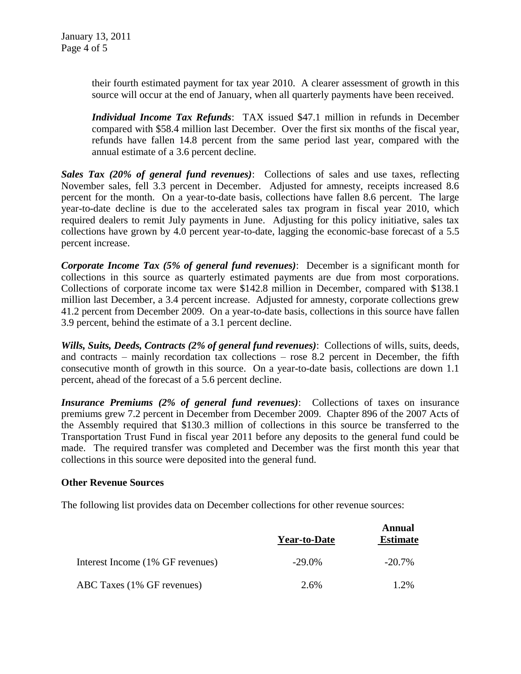their fourth estimated payment for tax year 2010. A clearer assessment of growth in this source will occur at the end of January, when all quarterly payments have been received.

*Individual Income Tax Refunds*: TAX issued \$47.1 million in refunds in December compared with \$58.4 million last December. Over the first six months of the fiscal year, refunds have fallen 14.8 percent from the same period last year, compared with the annual estimate of a 3.6 percent decline.

*Sales Tax (20% of general fund revenues)*: Collections of sales and use taxes, reflecting November sales, fell 3.3 percent in December. Adjusted for amnesty, receipts increased 8.6 percent for the month. On a year-to-date basis, collections have fallen 8.6 percent. The large year-to-date decline is due to the accelerated sales tax program in fiscal year 2010, which required dealers to remit July payments in June. Adjusting for this policy initiative, sales tax collections have grown by 4.0 percent year-to-date, lagging the economic-base forecast of a 5.5 percent increase.

*Corporate Income Tax (5% of general fund revenues)*: December is a significant month for collections in this source as quarterly estimated payments are due from most corporations. Collections of corporate income tax were \$142.8 million in December, compared with \$138.1 million last December, a 3.4 percent increase. Adjusted for amnesty, corporate collections grew 41.2 percent from December 2009. On a year-to-date basis, collections in this source have fallen 3.9 percent, behind the estimate of a 3.1 percent decline.

*Wills, Suits, Deeds, Contracts (2% of general fund revenues)*: Collections of wills, suits, deeds, and contracts – mainly recordation tax collections – rose 8.2 percent in December, the fifth consecutive month of growth in this source. On a year-to-date basis, collections are down 1.1 percent, ahead of the forecast of a 5.6 percent decline.

*Insurance Premiums (2% of general fund revenues)*: Collections of taxes on insurance premiums grew 7.2 percent in December from December 2009. Chapter 896 of the 2007 Acts of the Assembly required that \$130.3 million of collections in this source be transferred to the Transportation Trust Fund in fiscal year 2011 before any deposits to the general fund could be made. The required transfer was completed and December was the first month this year that collections in this source were deposited into the general fund.

### **Other Revenue Sources**

The following list provides data on December collections for other revenue sources:

|                                  | <b>Year-to-Date</b> | <b>Annual</b><br><b>Estimate</b> |
|----------------------------------|---------------------|----------------------------------|
| Interest Income (1% GF revenues) | $-29.0\%$           | $-20.7\%$                        |
| ABC Taxes (1% GF revenues)       | 2.6%                | 1.2%                             |